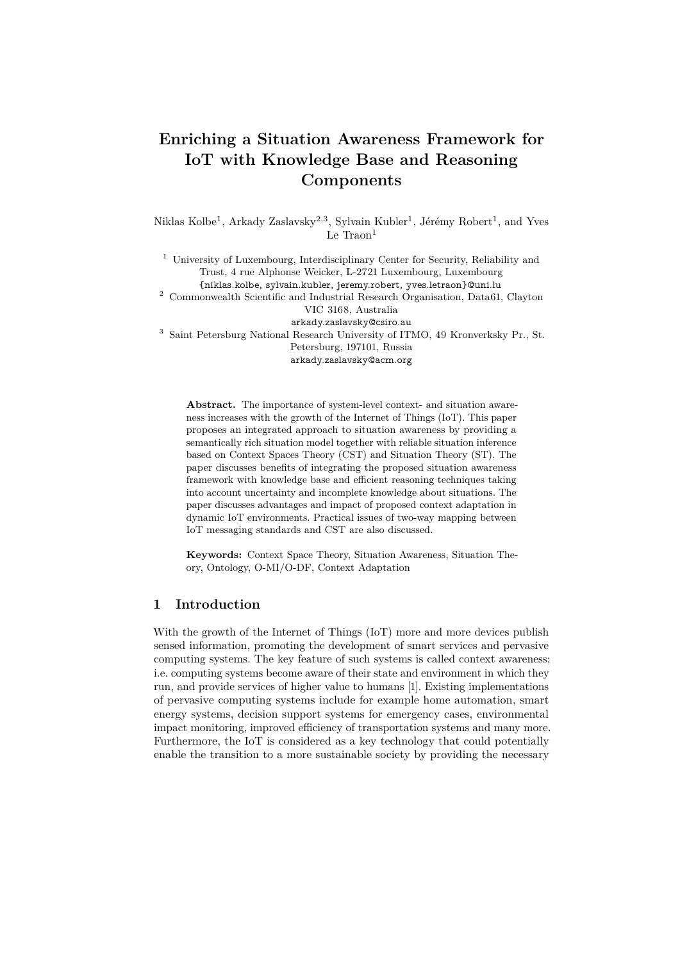# **Enriching a Situation Awareness Framework for IoT with Knowledge Base and Reasoning Components**

Niklas Kolbe<sup>1</sup>, Arkady Zaslavsky<sup>2,3</sup>, Sylvain Kubler<sup>1</sup>, Jérémy Robert<sup>1</sup>, and Yves Le Traon<sup>1</sup>

<sup>1</sup> University of Luxembourg, Interdisciplinary Center for Security, Reliability and Trust, 4 rue Alphonse Weicker, L-2721 Luxembourg, Luxembourg {niklas.kolbe, sylvain.kubler, jeremy.robert, yves.letraon}@uni.lu

 $^{\rm 2}$  Commonwealth Scientific and Industrial Research Organisation, Data61, Clayton VIC 3168, Australia arkady.zaslavsky@csiro.au <sup>3</sup> Saint Petersburg National Research University of ITMO, 49 Kronverksky Pr., St. Petersburg, 197101, Russia

arkady.zaslavsky@acm.org

**Abstract.** The importance of system-level context- and situation awareness increases with the growth of the Internet of Things (IoT). This paper proposes an integrated approach to situation awareness by providing a semantically rich situation model together with reliable situation inference based on Context Spaces Theory (CST) and Situation Theory (ST). The paper discusses benefits of integrating the proposed situation awareness framework with knowledge base and efficient reasoning techniques taking into account uncertainty and incomplete knowledge about situations. The paper discusses advantages and impact of proposed context adaptation in dynamic IoT environments. Practical issues of two-way mapping between IoT messaging standards and CST are also discussed.

**Keywords:** Context Space Theory, Situation Awareness, Situation Theory, Ontology, O-MI/O-DF, Context Adaptation

## **1 Introduction**

With the growth of the Internet of Things (IoT) more and more devices publish sensed information, promoting the development of smart services and pervasive computing systems. The key feature of such systems is called context awareness; i.e. computing systems become aware of their state and environment in which they run, and provide services of higher value to humans [\[1\]](#page-12-0). Existing implementations of pervasive computing systems include for example home automation, smart energy systems, decision support systems for emergency cases, environmental impact monitoring, improved efficiency of transportation systems and many more. Furthermore, the IoT is considered as a key technology that could potentially enable the transition to a more sustainable society by providing the necessary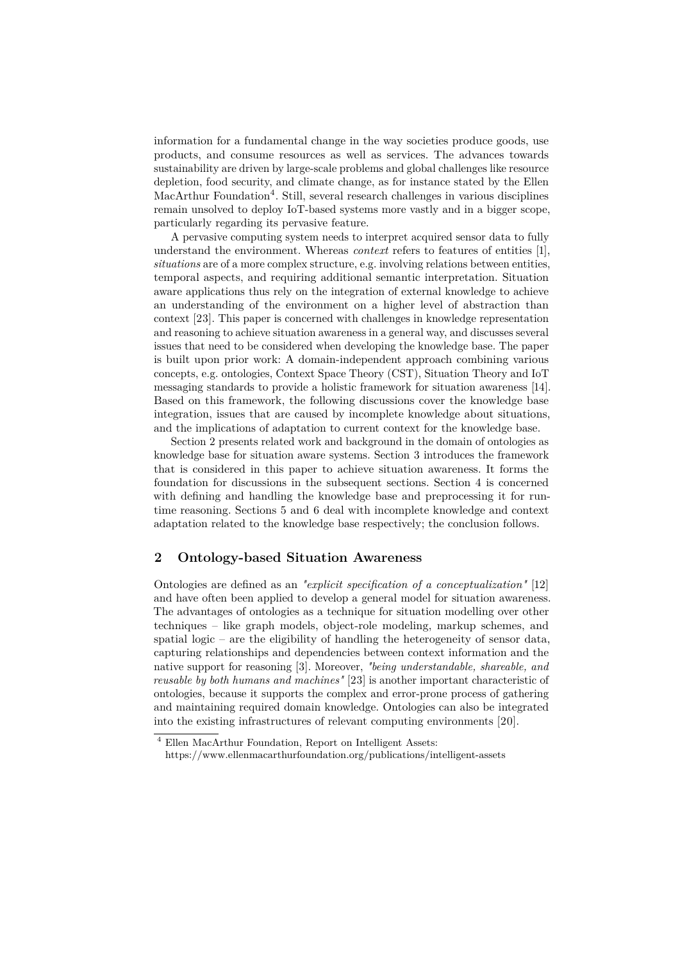information for a fundamental change in the way societies produce goods, use products, and consume resources as well as services. The advances towards sustainability are driven by large-scale problems and global challenges like resource depletion, food security, and climate change, as for instance stated by the Ellen MacArthur Foundation<sup>[4](#page-1-0)</sup>. Still, several research challenges in various disciplines remain unsolved to deploy IoT-based systems more vastly and in a bigger scope, particularly regarding its pervasive feature.

A pervasive computing system needs to interpret acquired sensor data to fully understand the environment. Whereas *context* refers to features of entities [\[1\]](#page-12-0), *situations* are of a more complex structure, e.g. involving relations between entities, temporal aspects, and requiring additional semantic interpretation. Situation aware applications thus rely on the integration of external knowledge to achieve an understanding of the environment on a higher level of abstraction than context [\[23\]](#page-13-0). This paper is concerned with challenges in knowledge representation and reasoning to achieve situation awareness in a general way, and discusses several issues that need to be considered when developing the knowledge base. The paper is built upon prior work: A domain-independent approach combining various concepts, e.g. ontologies, Context Space Theory (CST), Situation Theory and IoT messaging standards to provide a holistic framework for situation awareness [\[14\]](#page-13-1). Based on this framework, the following discussions cover the knowledge base integration, issues that are caused by incomplete knowledge about situations, and the implications of adaptation to current context for the knowledge base.

Section [2](#page-1-1) presents related work and background in the domain of ontologies as knowledge base for situation aware systems. Section [3](#page-4-0) introduces the framework that is considered in this paper to achieve situation awareness. It forms the foundation for discussions in the subsequent sections. Section [4](#page-5-0) is concerned with defining and handling the knowledge base and preprocessing it for runtime reasoning. Sections [5](#page-9-0) and [6](#page-10-0) deal with incomplete knowledge and context adaptation related to the knowledge base respectively; the conclusion follows.

## <span id="page-1-1"></span>**2 Ontology-based Situation Awareness**

Ontologies are defined as an *"explicit specification of a conceptualization"* [\[12\]](#page-13-2) and have often been applied to develop a general model for situation awareness. The advantages of ontologies as a technique for situation modelling over other techniques – like graph models, object-role modeling, markup schemes, and spatial logic – are the eligibility of handling the heterogeneity of sensor data, capturing relationships and dependencies between context information and the native support for reasoning [\[3\]](#page-12-1). Moreover, *"being understandable, shareable, and reusable by both humans and machines"* [\[23\]](#page-13-0) is another important characteristic of ontologies, because it supports the complex and error-prone process of gathering and maintaining required domain knowledge. Ontologies can also be integrated into the existing infrastructures of relevant computing environments [\[20\]](#page-13-3).

<span id="page-1-0"></span><sup>4</sup> Ellen MacArthur Foundation, Report on Intelligent Assets: https://www.ellenmacarthurfoundation.org/publications/intelligent-assets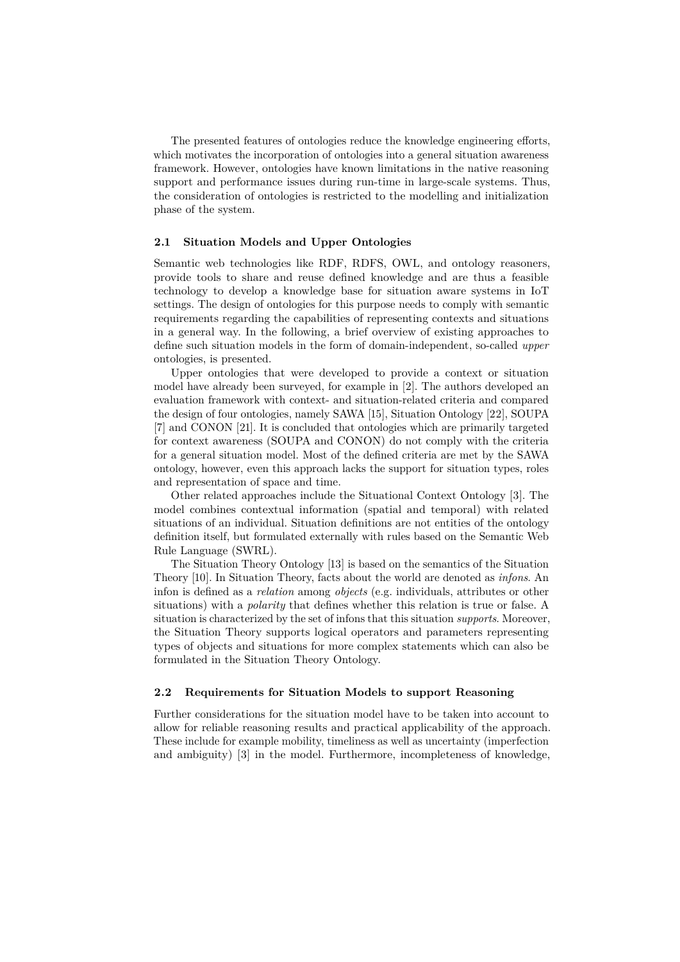The presented features of ontologies reduce the knowledge engineering efforts, which motivates the incorporation of ontologies into a general situation awareness framework. However, ontologies have known limitations in the native reasoning support and performance issues during run-time in large-scale systems. Thus, the consideration of ontologies is restricted to the modelling and initialization phase of the system.

#### **2.1 Situation Models and Upper Ontologies**

Semantic web technologies like RDF, RDFS, OWL, and ontology reasoners, provide tools to share and reuse defined knowledge and are thus a feasible technology to develop a knowledge base for situation aware systems in IoT settings. The design of ontologies for this purpose needs to comply with semantic requirements regarding the capabilities of representing contexts and situations in a general way. In the following, a brief overview of existing approaches to define such situation models in the form of domain-independent, so-called *upper* ontologies, is presented.

Upper ontologies that were developed to provide a context or situation model have already been surveyed, for example in [\[2\]](#page-12-2). The authors developed an evaluation framework with context- and situation-related criteria and compared the design of four ontologies, namely SAWA [\[15\]](#page-13-4), Situation Ontology [\[22\]](#page-13-5), SOUPA [\[7\]](#page-13-6) and CONON [\[21\]](#page-13-7). It is concluded that ontologies which are primarily targeted for context awareness (SOUPA and CONON) do not comply with the criteria for a general situation model. Most of the defined criteria are met by the SAWA ontology, however, even this approach lacks the support for situation types, roles and representation of space and time.

Other related approaches include the Situational Context Ontology [\[3\]](#page-12-1). The model combines contextual information (spatial and temporal) with related situations of an individual. Situation definitions are not entities of the ontology definition itself, but formulated externally with rules based on the Semantic Web Rule Language (SWRL).

The Situation Theory Ontology [\[13\]](#page-13-8) is based on the semantics of the Situation Theory [\[10\]](#page-13-9). In Situation Theory, facts about the world are denoted as *infons*. An infon is defined as a *relation* among *objects* (e.g. individuals, attributes or other situations) with a *polarity* that defines whether this relation is true or false. A situation is characterized by the set of infons that this situation *supports*. Moreover, the Situation Theory supports logical operators and parameters representing types of objects and situations for more complex statements which can also be formulated in the Situation Theory Ontology.

#### **2.2 Requirements for Situation Models to support Reasoning**

Further considerations for the situation model have to be taken into account to allow for reliable reasoning results and practical applicability of the approach. These include for example mobility, timeliness as well as uncertainty (imperfection and ambiguity) [\[3\]](#page-12-1) in the model. Furthermore, incompleteness of knowledge,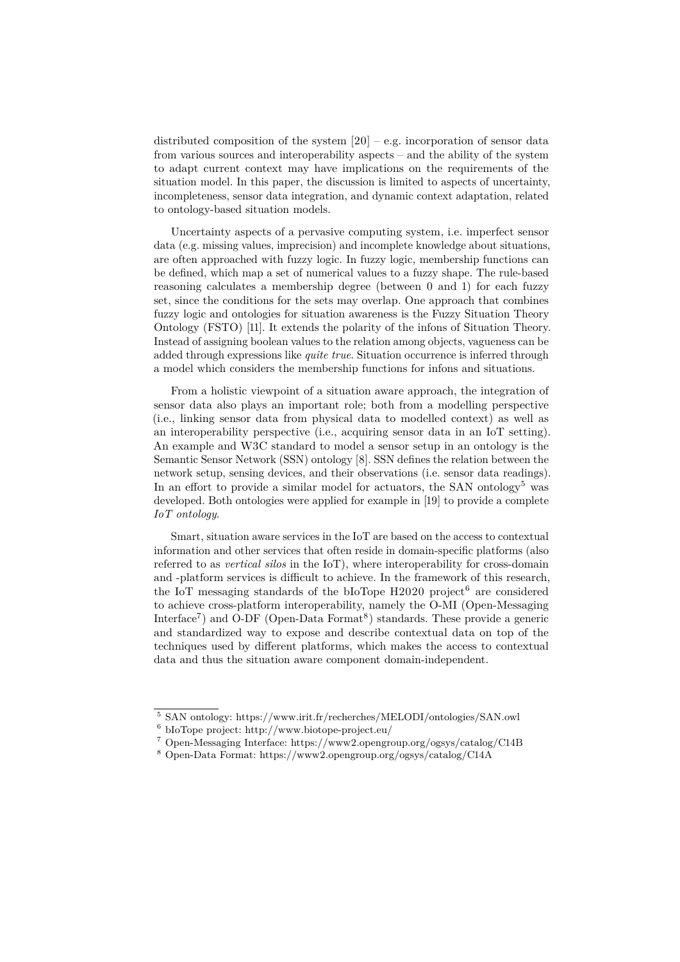distributed composition of the system  $[20]$  – e.g. incorporation of sensor data from various sources and interoperability aspects – and the ability of the system to adapt current context may have implications on the requirements of the situation model. In this paper, the discussion is limited to aspects of uncertainty, incompleteness, sensor data integration, and dynamic context adaptation, related to ontology-based situation models.

Uncertainty aspects of a pervasive computing system, i.e. imperfect sensor data (e.g. missing values, imprecision) and incomplete knowledge about situations, are often approached with fuzzy logic. In fuzzy logic, membership functions can be defined, which map a set of numerical values to a fuzzy shape. The rule-based reasoning calculates a membership degree (between 0 and 1) for each fuzzy set, since the conditions for the sets may overlap. One approach that combines fuzzy logic and ontologies for situation awareness is the Fuzzy Situation Theory Ontology (FSTO) [\[11\]](#page-13-10). It extends the polarity of the infons of Situation Theory. Instead of assigning boolean values to the relation among objects, vagueness can be added through expressions like *quite true*. Situation occurrence is inferred through a model which considers the membership functions for infons and situations.

From a holistic viewpoint of a situation aware approach, the integration of sensor data also plays an important role; both from a modelling perspective (i.e., linking sensor data from physical data to modelled context) as well as an interoperability perspective (i.e., acquiring sensor data in an IoT setting). An example and W3C standard to model a sensor setup in an ontology is the Semantic Sensor Network (SSN) ontology [\[8\]](#page-13-11). SSN defines the relation between the network setup, sensing devices, and their observations (i.e. sensor data readings). In an effort to provide a similar model for actuators, the SAN ontology<sup>[5](#page-3-0)</sup> was developed. Both ontologies were applied for example in [\[19\]](#page-13-12) to provide a complete *IoT ontology*.

Smart, situation aware services in the IoT are based on the access to contextual information and other services that often reside in domain-specific platforms (also referred to as *vertical silos* in the IoT), where interoperability for cross-domain and -platform services is difficult to achieve. In the framework of this research, the IoT messaging standards of the bIoTope  $H2020$  project<sup>[6](#page-3-1)</sup> are considered to achieve cross-platform interoperability, namely the O-MI (Open-Messaging Interface<sup>[7](#page-3-2)</sup>) and O-DF (Open-Data Format<sup>[8](#page-3-3)</sup>) standards. These provide a generic and standardized way to expose and describe contextual data on top of the techniques used by different platforms, which makes the access to contextual data and thus the situation aware component domain-independent.

<span id="page-3-0"></span><sup>5</sup> SAN ontology: https://www.irit.fr/recherches/MELODI/ontologies/SAN.owl

<span id="page-3-1"></span><sup>6</sup> bIoTope project: http://www.biotope-project.eu/

<span id="page-3-2"></span><sup>7</sup> Open-Messaging Interface: https://www2.opengroup.org/ogsys/catalog/C14B

<span id="page-3-3"></span><sup>8</sup> Open-Data Format: https://www2.opengroup.org/ogsys/catalog/C14A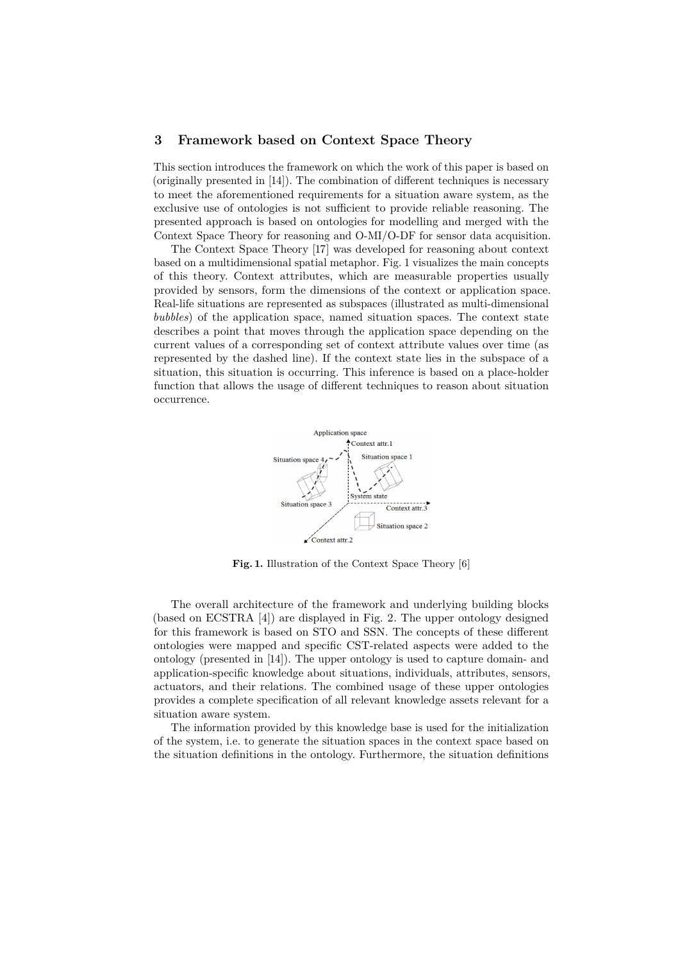#### <span id="page-4-0"></span>**3 Framework based on Context Space Theory**

This section introduces the framework on which the work of this paper is based on (originally presented in [\[14\]](#page-13-1)). The combination of different techniques is necessary to meet the aforementioned requirements for a situation aware system, as the exclusive use of ontologies is not sufficient to provide reliable reasoning. The presented approach is based on ontologies for modelling and merged with the Context Space Theory for reasoning and O-MI/O-DF for sensor data acquisition.

The Context Space Theory [\[17\]](#page-13-13) was developed for reasoning about context based on a multidimensional spatial metaphor. Fig. [1](#page-4-1) visualizes the main concepts of this theory. Context attributes, which are measurable properties usually provided by sensors, form the dimensions of the context or application space. Real-life situations are represented as subspaces (illustrated as multi-dimensional *bubbles*) of the application space, named situation spaces. The context state describes a point that moves through the application space depending on the current values of a corresponding set of context attribute values over time (as represented by the dashed line). If the context state lies in the subspace of a situation, this situation is occurring. This inference is based on a place-holder function that allows the usage of different techniques to reason about situation occurrence.

<span id="page-4-1"></span>

**Fig. 1.** Illustration of the Context Space Theory [\[6\]](#page-13-14)

The overall architecture of the framework and underlying building blocks (based on ECSTRA [\[4\]](#page-12-3)) are displayed in Fig. [2.](#page-5-1) The upper ontology designed for this framework is based on STO and SSN. The concepts of these different ontologies were mapped and specific CST-related aspects were added to the ontology (presented in [\[14\]](#page-13-1)). The upper ontology is used to capture domain- and application-specific knowledge about situations, individuals, attributes, sensors, actuators, and their relations. The combined usage of these upper ontologies provides a complete specification of all relevant knowledge assets relevant for a situation aware system.

The information provided by this knowledge base is used for the initialization of the system, i.e. to generate the situation spaces in the context space based on the situation definitions in the ontology. Furthermore, the situation definitions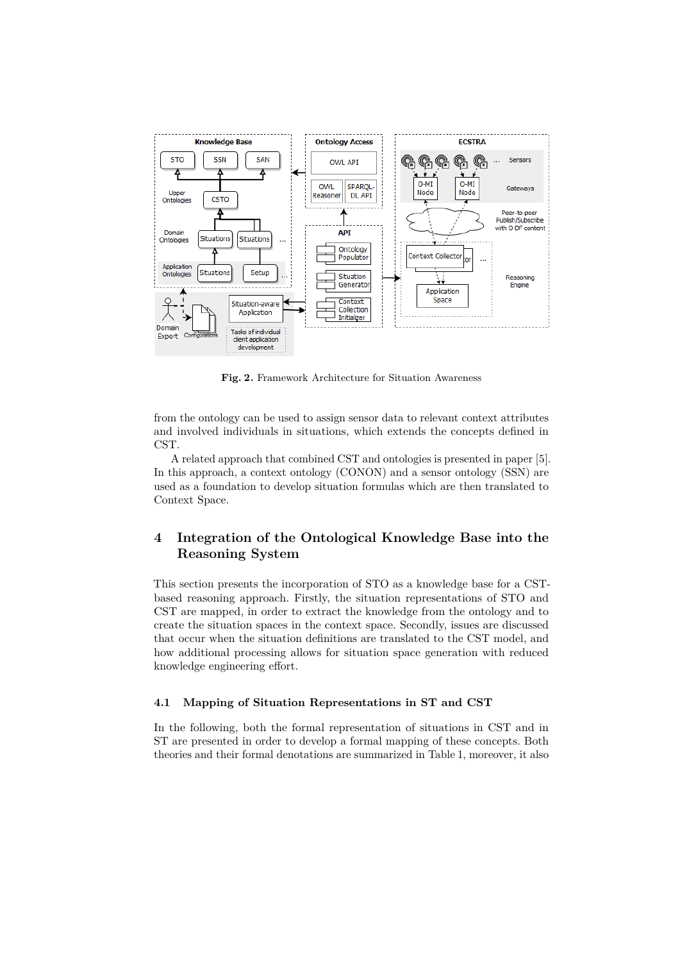<span id="page-5-1"></span>

**Fig. 2.** Framework Architecture for Situation Awareness

from the ontology can be used to assign sensor data to relevant context attributes and involved individuals in situations, which extends the concepts defined in CST.

A related approach that combined CST and ontologies is presented in paper [\[5\]](#page-12-4). In this approach, a context ontology (CONON) and a sensor ontology (SSN) are used as a foundation to develop situation formulas which are then translated to Context Space.

# <span id="page-5-0"></span>**4 Integration of the Ontological Knowledge Base into the Reasoning System**

This section presents the incorporation of STO as a knowledge base for a CSTbased reasoning approach. Firstly, the situation representations of STO and CST are mapped, in order to extract the knowledge from the ontology and to create the situation spaces in the context space. Secondly, issues are discussed that occur when the situation definitions are translated to the CST model, and how additional processing allows for situation space generation with reduced knowledge engineering effort.

#### **4.1 Mapping of Situation Representations in ST and CST**

In the following, both the formal representation of situations in CST and in ST are presented in order to develop a formal mapping of these concepts. Both theories and their formal denotations are summarized in Table [1,](#page-7-0) moreover, it also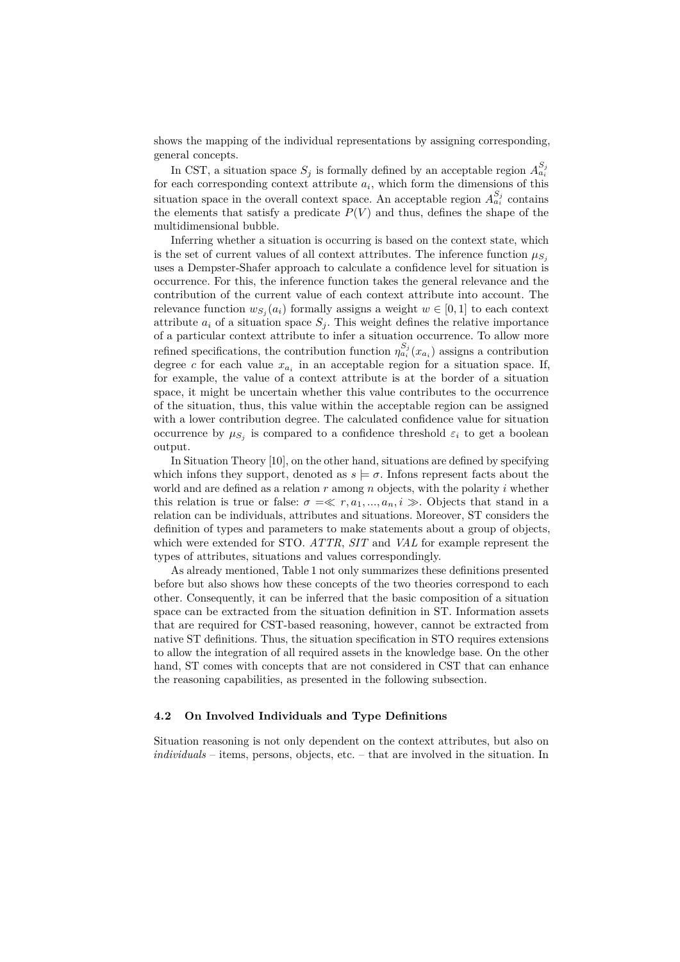shows the mapping of the individual representations by assigning corresponding, general concepts.

In CST, a situation space  $S_j$  is formally defined by an acceptable region  $A_{a_i}^{S_j}$ for each corresponding context attribute  $a_i$ , which form the dimensions of this situation space in the overall context space. An acceptable region  $A_{a_i}^{S_j}$  contains the elements that satisfy a predicate  $P(V)$  and thus, defines the shape of the multidimensional bubble.

Inferring whether a situation is occurring is based on the context state, which is the set of current values of all context attributes. The inference function  $\mu_{S_i}$ uses a Dempster-Shafer approach to calculate a confidence level for situation is occurrence. For this, the inference function takes the general relevance and the contribution of the current value of each context attribute into account. The relevance function  $w_{S_j}(a_i)$  formally assigns a weight  $w \in [0,1]$  to each context attribute  $a_i$  of a situation space  $S_j$ . This weight defines the relative importance of a particular context attribute to infer a situation occurrence. To allow more refined specifications, the contribution function  $\eta_{a_i}^{S_j}(x_{a_i})$  assigns a contribution degree *c* for each value  $x_{a_i}$  in an acceptable region for a situation space. If, for example, the value of a context attribute is at the border of a situation space, it might be uncertain whether this value contributes to the occurrence of the situation, thus, this value within the acceptable region can be assigned with a lower contribution degree. The calculated confidence value for situation occurrence by  $\mu_{S_j}$  is compared to a confidence threshold  $\varepsilon_i$  to get a boolean output.

In Situation Theory [\[10\]](#page-13-9), on the other hand, situations are defined by specifying which infons they support, denoted as  $s = \sigma$ . Infons represent facts about the world and are defined as a relation *r* among *n* objects, with the polarity *i* whether this relation is true or false:  $\sigma = \ll r, a_1, ..., a_n, i \gg$ . Objects that stand in a relation can be individuals, attributes and situations. Moreover, ST considers the definition of types and parameters to make statements about a group of objects, which were extended for STO. *ATTR*, *SIT* and *VAL* for example represent the types of attributes, situations and values correspondingly.

As already mentioned, Table [1](#page-7-0) not only summarizes these definitions presented before but also shows how these concepts of the two theories correspond to each other. Consequently, it can be inferred that the basic composition of a situation space can be extracted from the situation definition in ST. Information assets that are required for CST-based reasoning, however, cannot be extracted from native ST definitions. Thus, the situation specification in STO requires extensions to allow the integration of all required assets in the knowledge base. On the other hand, ST comes with concepts that are not considered in CST that can enhance the reasoning capabilities, as presented in the following subsection.

#### **4.2 On Involved Individuals and Type Definitions**

Situation reasoning is not only dependent on the context attributes, but also on *individuals* – items, persons, objects, etc. – that are involved in the situation. In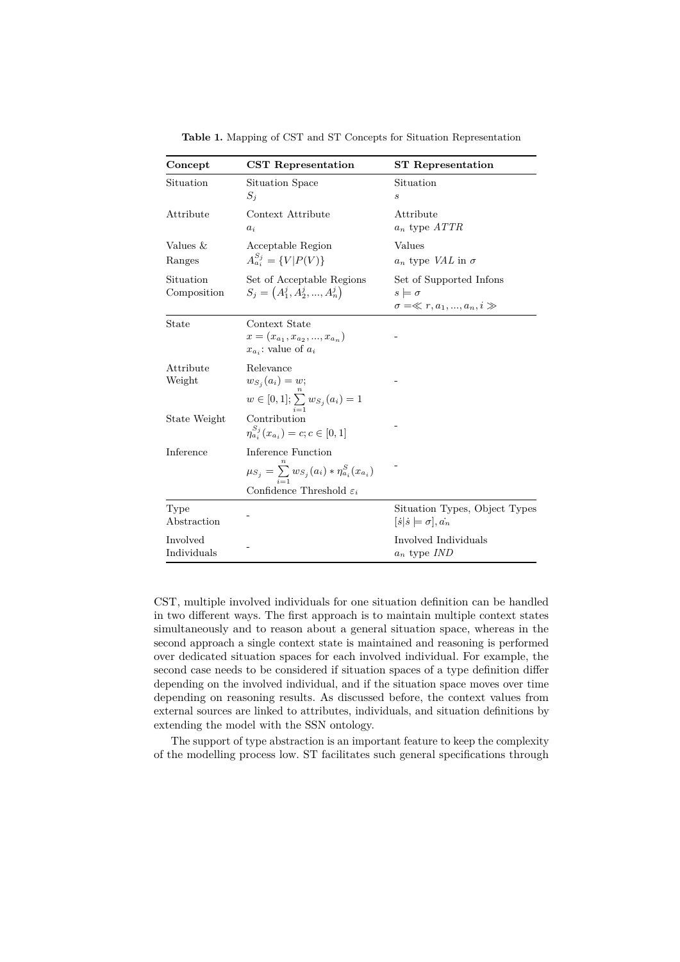<span id="page-7-0"></span>**Table 1.** Mapping of CST and ST Concepts for Situation Representation

| Concept                  | <b>CST</b> Representation                                                                                                   | <b>ST</b> Representation                                                             |
|--------------------------|-----------------------------------------------------------------------------------------------------------------------------|--------------------------------------------------------------------------------------|
| Situation                | Situation Space<br>$S_j$                                                                                                    | Situation<br>$\boldsymbol{s}$                                                        |
| Attribute                | Context Attribute<br>$a_i$                                                                                                  | Attribute<br>$a_n$ type $ATTR$                                                       |
| Values &<br>Ranges       | Acceptable Region<br>$A_{a_i}^{S_j} = \{V P(V)\}$                                                                           | Values<br>$a_n$ type VAL in $\sigma$                                                 |
| Situation<br>Composition | Set of Acceptable Regions<br>$S_j = (A_1^j, A_2^j, , A_n^j)$                                                                | Set of Supported Infons<br>$s \models \sigma$<br>$\sigma = \ll r, a_1, , a_n, i \gg$ |
| State                    | Context State<br>$x=(x_{a_1},x_{a_2},,x_{a_n})$<br>$x_{a_i}$ : value of $a_i$                                               |                                                                                      |
| Attribute<br>Weight      | Relevance<br>$w_{S_j}(a_i) = w;$<br>$w \in [0,1]; \sum_{i=1}^{n} w_{S_i}(a_i) = 1$                                          |                                                                                      |
| State Weight             | Contribution<br>$\eta_{a_i}^{S_j}(x_{a_i})=c; c\in [0,1]$                                                                   |                                                                                      |
| Inference                | Inference Function<br>$\mu_{S_j} = \sum_{i} w_{S_j}(a_i) * \eta_{a_i}^{S}(x_{a_i})$<br>Confidence Threshold $\varepsilon_i$ |                                                                                      |
| Type<br>Abstraction      |                                                                                                                             | Situation Types, Object Types<br>$[\dot{s} \dot{s}  \models \sigma], \dot{a_n}$      |
| Involved<br>Individuals  |                                                                                                                             | Involved Individuals<br>$a_n$ type IND                                               |

CST, multiple involved individuals for one situation definition can be handled in two different ways. The first approach is to maintain multiple context states simultaneously and to reason about a general situation space, whereas in the second approach a single context state is maintained and reasoning is performed over dedicated situation spaces for each involved individual. For example, the second case needs to be considered if situation spaces of a type definition differ depending on the involved individual, and if the situation space moves over time depending on reasoning results. As discussed before, the context values from external sources are linked to attributes, individuals, and situation definitions by extending the model with the SSN ontology.

The support of type abstraction is an important feature to keep the complexity of the modelling process low. ST facilitates such general specifications through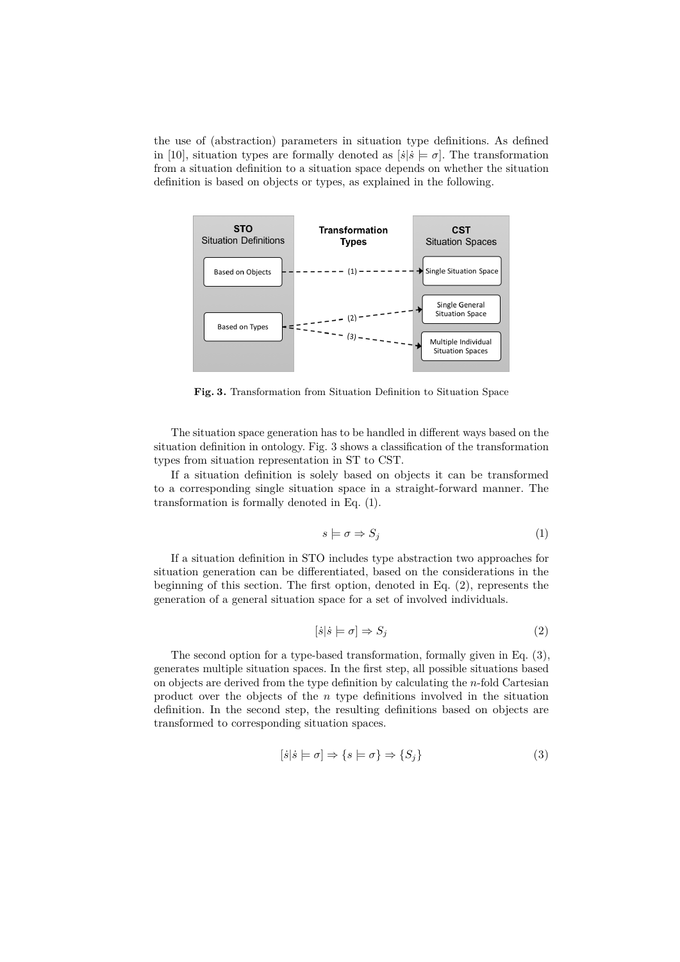the use of (abstraction) parameters in situation type definitions. As defined in [\[10\]](#page-13-9), situation types are formally denoted as  $[\dot{s}|\dot{s} \models \sigma]$ . The transformation from a situation definition to a situation space depends on whether the situation definition is based on objects or types, as explained in the following.

<span id="page-8-0"></span>

**Fig. 3.** Transformation from Situation Definition to Situation Space

The situation space generation has to be handled in different ways based on the situation definition in ontology. Fig. [3](#page-8-0) shows a classification of the transformation types from situation representation in ST to CST.

If a situation definition is solely based on objects it can be transformed to a corresponding single situation space in a straight-forward manner. The transformation is formally denoted in Eq. [\(1\)](#page-8-1).

<span id="page-8-1"></span>
$$
s \models \sigma \Rightarrow S_j \tag{1}
$$

If a situation definition in STO includes type abstraction two approaches for situation generation can be differentiated, based on the considerations in the beginning of this section. The first option, denoted in Eq. [\(2\)](#page-8-2), represents the generation of a general situation space for a set of involved individuals.

<span id="page-8-2"></span>
$$
[\dot{s}|\dot{s} \models \sigma] \Rightarrow S_j \tag{2}
$$

The second option for a type-based transformation, formally given in Eq. [\(3\)](#page-8-3), generates multiple situation spaces. In the first step, all possible situations based on objects are derived from the type definition by calculating the *n*-fold Cartesian product over the objects of the *n* type definitions involved in the situation definition. In the second step, the resulting definitions based on objects are transformed to corresponding situation spaces.

<span id="page-8-3"></span>
$$
[\dot{s}|\dot{s} \models \sigma] \Rightarrow \{s \models \sigma\} \Rightarrow \{S_j\} \tag{3}
$$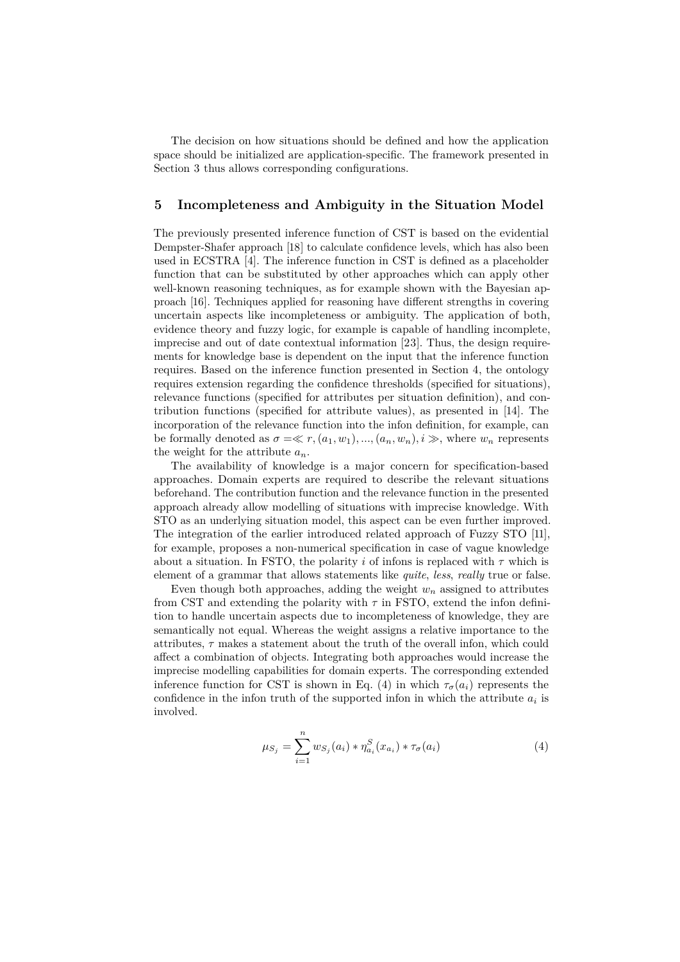The decision on how situations should be defined and how the application space should be initialized are application-specific. The framework presented in Section [3](#page-4-0) thus allows corresponding configurations.

## <span id="page-9-0"></span>**5 Incompleteness and Ambiguity in the Situation Model**

The previously presented inference function of CST is based on the evidential Dempster-Shafer approach [\[18\]](#page-13-15) to calculate confidence levels, which has also been used in ECSTRA [\[4\]](#page-12-3). The inference function in CST is defined as a placeholder function that can be substituted by other approaches which can apply other well-known reasoning techniques, as for example shown with the Bayesian approach [\[16\]](#page-13-16). Techniques applied for reasoning have different strengths in covering uncertain aspects like incompleteness or ambiguity. The application of both, evidence theory and fuzzy logic, for example is capable of handling incomplete, imprecise and out of date contextual information [\[23\]](#page-13-0). Thus, the design requirements for knowledge base is dependent on the input that the inference function requires. Based on the inference function presented in Section [4,](#page-5-0) the ontology requires extension regarding the confidence thresholds (specified for situations), relevance functions (specified for attributes per situation definition), and contribution functions (specified for attribute values), as presented in [\[14\]](#page-13-1). The incorporation of the relevance function into the infon definition, for example, can be formally denoted as  $\sigma = \ll r$ ,  $(a_1, w_1)$ , ...,  $(a_n, w_n)$ ,  $i \gg$ , where  $w_n$  represents the weight for the attribute *an*.

The availability of knowledge is a major concern for specification-based approaches. Domain experts are required to describe the relevant situations beforehand. The contribution function and the relevance function in the presented approach already allow modelling of situations with imprecise knowledge. With STO as an underlying situation model, this aspect can be even further improved. The integration of the earlier introduced related approach of Fuzzy STO [\[11\]](#page-13-10), for example, proposes a non-numerical specification in case of vague knowledge about a situation. In FSTO, the polarity *i* of infons is replaced with  $\tau$  which is element of a grammar that allows statements like *quite*, *less*, *really* true or false.

Even though both approaches, adding the weight  $w_n$  assigned to attributes from CST and extending the polarity with *τ* in FSTO, extend the infon definition to handle uncertain aspects due to incompleteness of knowledge, they are semantically not equal. Whereas the weight assigns a relative importance to the attributes,  $\tau$  makes a statement about the truth of the overall infon, which could affect a combination of objects. Integrating both approaches would increase the imprecise modelling capabilities for domain experts. The corresponding extended inference function for CST is shown in Eq. [\(4\)](#page-9-1) in which  $\tau_{\sigma}(a_i)$  represents the confidence in the infon truth of the supported infon in which the attribute  $a_i$  is involved.

<span id="page-9-1"></span>
$$
\mu_{S_j} = \sum_{i=1}^n w_{S_j}(a_i) * \eta_{a_i}^S(x_{a_i}) * \tau_{\sigma}(a_i)
$$
\n(4)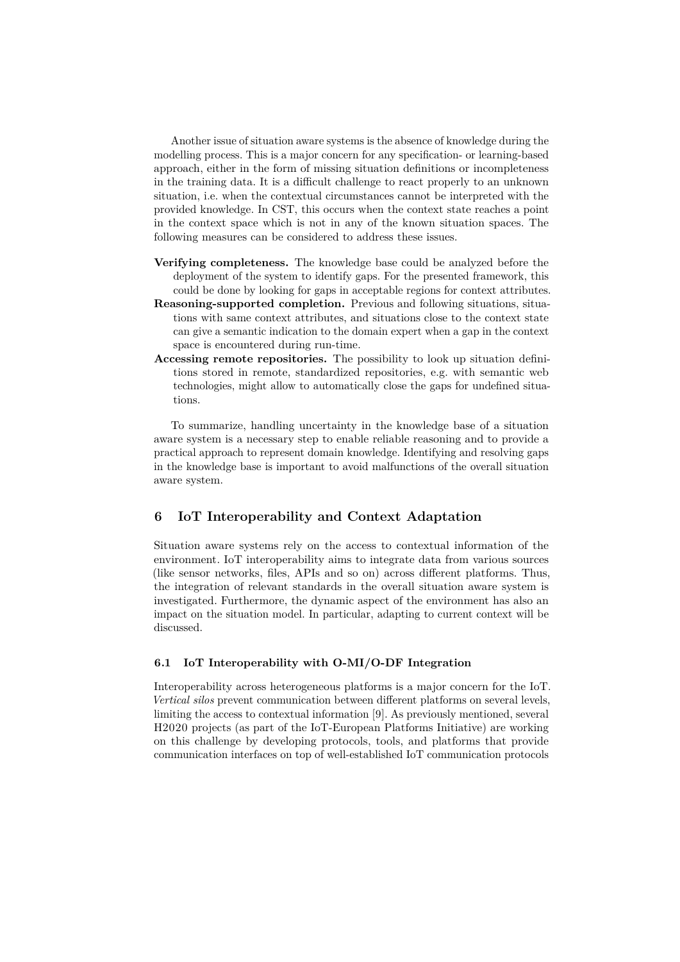Another issue of situation aware systems is the absence of knowledge during the modelling process. This is a major concern for any specification- or learning-based approach, either in the form of missing situation definitions or incompleteness in the training data. It is a difficult challenge to react properly to an unknown situation, i.e. when the contextual circumstances cannot be interpreted with the provided knowledge. In CST, this occurs when the context state reaches a point in the context space which is not in any of the known situation spaces. The following measures can be considered to address these issues.

- **Verifying completeness.** The knowledge base could be analyzed before the deployment of the system to identify gaps. For the presented framework, this could be done by looking for gaps in acceptable regions for context attributes.
- **Reasoning-supported completion.** Previous and following situations, situations with same context attributes, and situations close to the context state can give a semantic indication to the domain expert when a gap in the context space is encountered during run-time.
- **Accessing remote repositories.** The possibility to look up situation definitions stored in remote, standardized repositories, e.g. with semantic web technologies, might allow to automatically close the gaps for undefined situations.

To summarize, handling uncertainty in the knowledge base of a situation aware system is a necessary step to enable reliable reasoning and to provide a practical approach to represent domain knowledge. Identifying and resolving gaps in the knowledge base is important to avoid malfunctions of the overall situation aware system.

# <span id="page-10-0"></span>**6 IoT Interoperability and Context Adaptation**

Situation aware systems rely on the access to contextual information of the environment. IoT interoperability aims to integrate data from various sources (like sensor networks, files, APIs and so on) across different platforms. Thus, the integration of relevant standards in the overall situation aware system is investigated. Furthermore, the dynamic aspect of the environment has also an impact on the situation model. In particular, adapting to current context will be discussed.

#### **6.1 IoT Interoperability with O-MI/O-DF Integration**

Interoperability across heterogeneous platforms is a major concern for the IoT. *Vertical silos* prevent communication between different platforms on several levels, limiting the access to contextual information [\[9\]](#page-13-17). As previously mentioned, several H2020 projects (as part of the IoT-European Platforms Initiative) are working on this challenge by developing protocols, tools, and platforms that provide communication interfaces on top of well-established IoT communication protocols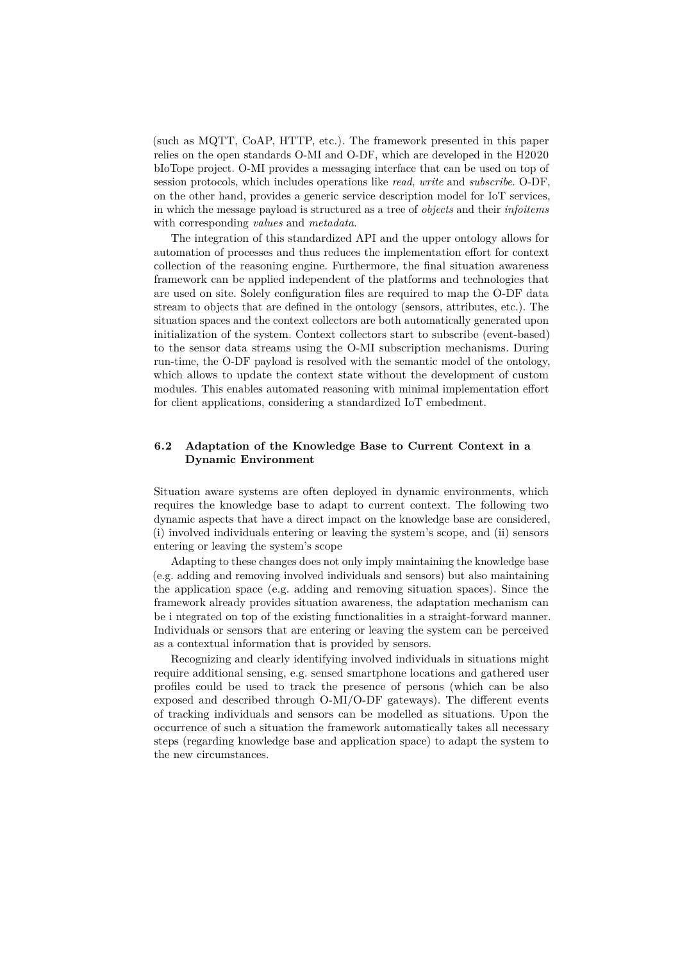(such as MQTT, CoAP, HTTP, etc.). The framework presented in this paper relies on the open standards O-MI and O-DF, which are developed in the H2020 bIoTope project. O-MI provides a messaging interface that can be used on top of session protocols, which includes operations like *read*, *write* and *subscribe*. O-DF, on the other hand, provides a generic service description model for IoT services, in which the message payload is structured as a tree of *objects* and their *infoitems* with corresponding *values* and *metadata*.

The integration of this standardized API and the upper ontology allows for automation of processes and thus reduces the implementation effort for context collection of the reasoning engine. Furthermore, the final situation awareness framework can be applied independent of the platforms and technologies that are used on site. Solely configuration files are required to map the O-DF data stream to objects that are defined in the ontology (sensors, attributes, etc.). The situation spaces and the context collectors are both automatically generated upon initialization of the system. Context collectors start to subscribe (event-based) to the sensor data streams using the O-MI subscription mechanisms. During run-time, the O-DF payload is resolved with the semantic model of the ontology, which allows to update the context state without the development of custom modules. This enables automated reasoning with minimal implementation effort for client applications, considering a standardized IoT embedment.

### **6.2 Adaptation of the Knowledge Base to Current Context in a Dynamic Environment**

Situation aware systems are often deployed in dynamic environments, which requires the knowledge base to adapt to current context. The following two dynamic aspects that have a direct impact on the knowledge base are considered, (i) involved individuals entering or leaving the system's scope, and (ii) sensors entering or leaving the system's scope

Adapting to these changes does not only imply maintaining the knowledge base (e.g. adding and removing involved individuals and sensors) but also maintaining the application space (e.g. adding and removing situation spaces). Since the framework already provides situation awareness, the adaptation mechanism can be i ntegrated on top of the existing functionalities in a straight-forward manner. Individuals or sensors that are entering or leaving the system can be perceived as a contextual information that is provided by sensors.

Recognizing and clearly identifying involved individuals in situations might require additional sensing, e.g. sensed smartphone locations and gathered user profiles could be used to track the presence of persons (which can be also exposed and described through O-MI/O-DF gateways). The different events of tracking individuals and sensors can be modelled as situations. Upon the occurrence of such a situation the framework automatically takes all necessary steps (regarding knowledge base and application space) to adapt the system to the new circumstances.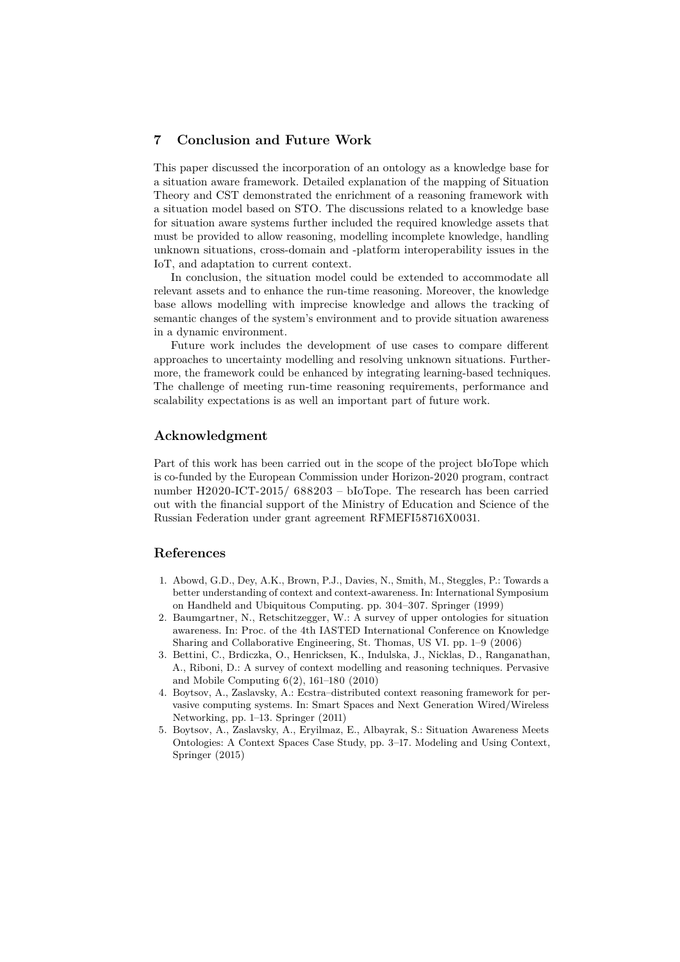## **7 Conclusion and Future Work**

This paper discussed the incorporation of an ontology as a knowledge base for a situation aware framework. Detailed explanation of the mapping of Situation Theory and CST demonstrated the enrichment of a reasoning framework with a situation model based on STO. The discussions related to a knowledge base for situation aware systems further included the required knowledge assets that must be provided to allow reasoning, modelling incomplete knowledge, handling unknown situations, cross-domain and -platform interoperability issues in the IoT, and adaptation to current context.

In conclusion, the situation model could be extended to accommodate all relevant assets and to enhance the run-time reasoning. Moreover, the knowledge base allows modelling with imprecise knowledge and allows the tracking of semantic changes of the system's environment and to provide situation awareness in a dynamic environment.

Future work includes the development of use cases to compare different approaches to uncertainty modelling and resolving unknown situations. Furthermore, the framework could be enhanced by integrating learning-based techniques. The challenge of meeting run-time reasoning requirements, performance and scalability expectations is as well an important part of future work.

## **Acknowledgment**

Part of this work has been carried out in the scope of the project bIoTope which is co-funded by the European Commission under Horizon-2020 program, contract number H2020-ICT-2015/ 688203 – bIoTope. The research has been carried out with the financial support of the Ministry of Education and Science of the Russian Federation under grant agreement RFMEFI58716X0031.

#### **References**

- <span id="page-12-0"></span>1. Abowd, G.D., Dey, A.K., Brown, P.J., Davies, N., Smith, M., Steggles, P.: Towards a better understanding of context and context-awareness. In: International Symposium on Handheld and Ubiquitous Computing. pp. 304–307. Springer (1999)
- <span id="page-12-2"></span>2. Baumgartner, N., Retschitzegger, W.: A survey of upper ontologies for situation awareness. In: Proc. of the 4th IASTED International Conference on Knowledge Sharing and Collaborative Engineering, St. Thomas, US VI. pp. 1–9 (2006)
- <span id="page-12-1"></span>3. Bettini, C., Brdiczka, O., Henricksen, K., Indulska, J., Nicklas, D., Ranganathan, A., Riboni, D.: A survey of context modelling and reasoning techniques. Pervasive and Mobile Computing 6(2), 161–180 (2010)
- <span id="page-12-3"></span>4. Boytsov, A., Zaslavsky, A.: Ecstra–distributed context reasoning framework for pervasive computing systems. In: Smart Spaces and Next Generation Wired/Wireless Networking, pp. 1–13. Springer (2011)
- <span id="page-12-4"></span>5. Boytsov, A., Zaslavsky, A., Eryilmaz, E., Albayrak, S.: Situation Awareness Meets Ontologies: A Context Spaces Case Study, pp. 3–17. Modeling and Using Context, Springer (2015)